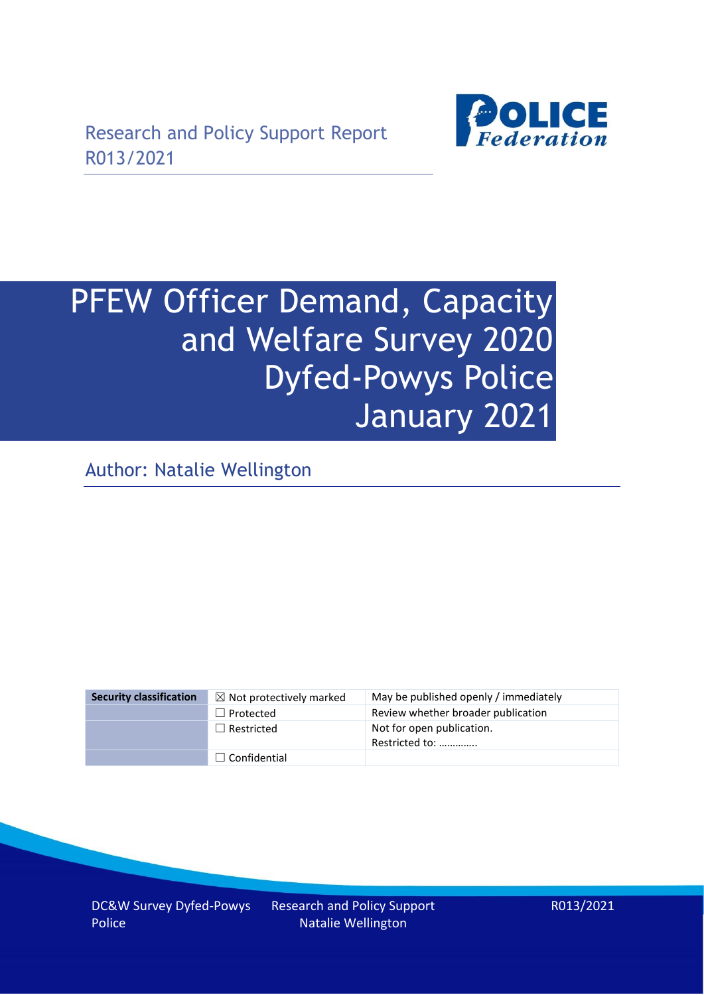

# PFEW Officer Demand, Capacity and Welfare Survey 2020 Dyfed-Powys Police January 2021

Author: Natalie Wellington

| <b>Security classification</b> | $\boxtimes$ Not protectively marked | May be published openly / immediately       |
|--------------------------------|-------------------------------------|---------------------------------------------|
|                                | $\Box$ Protected                    | Review whether broader publication          |
|                                | $\Box$ Restricted                   | Not for open publication.<br>Restricted to: |
|                                | $\Box$ Confidential                 |                                             |

DC&W Survey Dyfed-Powys Police

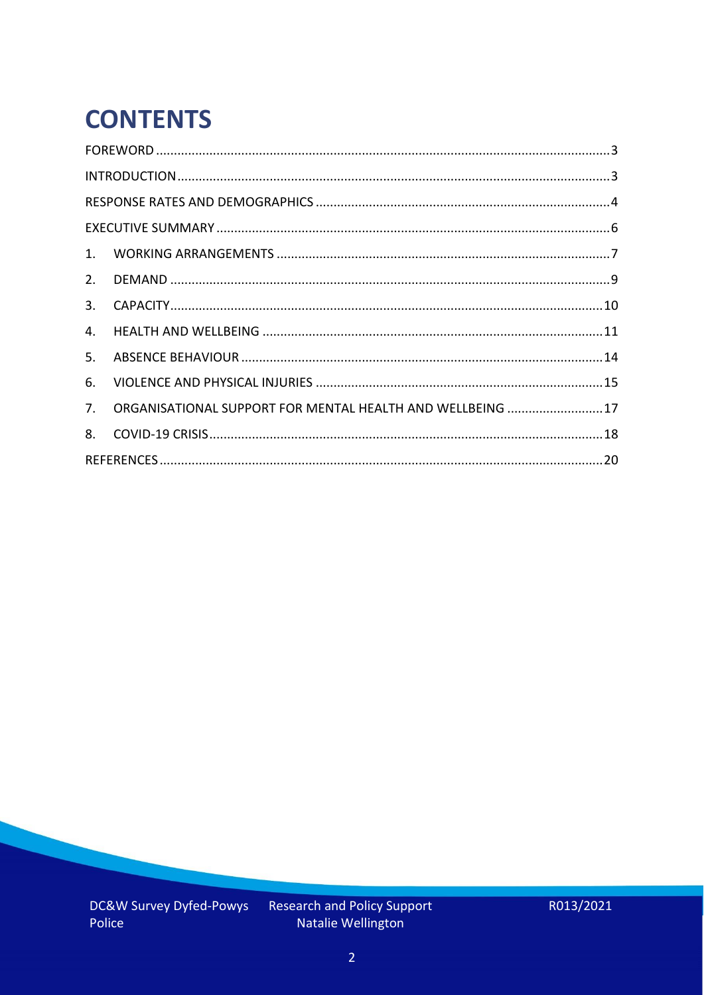# **CONTENTS**

| 2.          |                                                            |  |
|-------------|------------------------------------------------------------|--|
| 3.          |                                                            |  |
| 4.          |                                                            |  |
| 5.          |                                                            |  |
| 6.          |                                                            |  |
| $7_{\cdot}$ | ORGANISATIONAL SUPPORT FOR MENTAL HEALTH AND WELLBEING  17 |  |
| 8.          |                                                            |  |
|             |                                                            |  |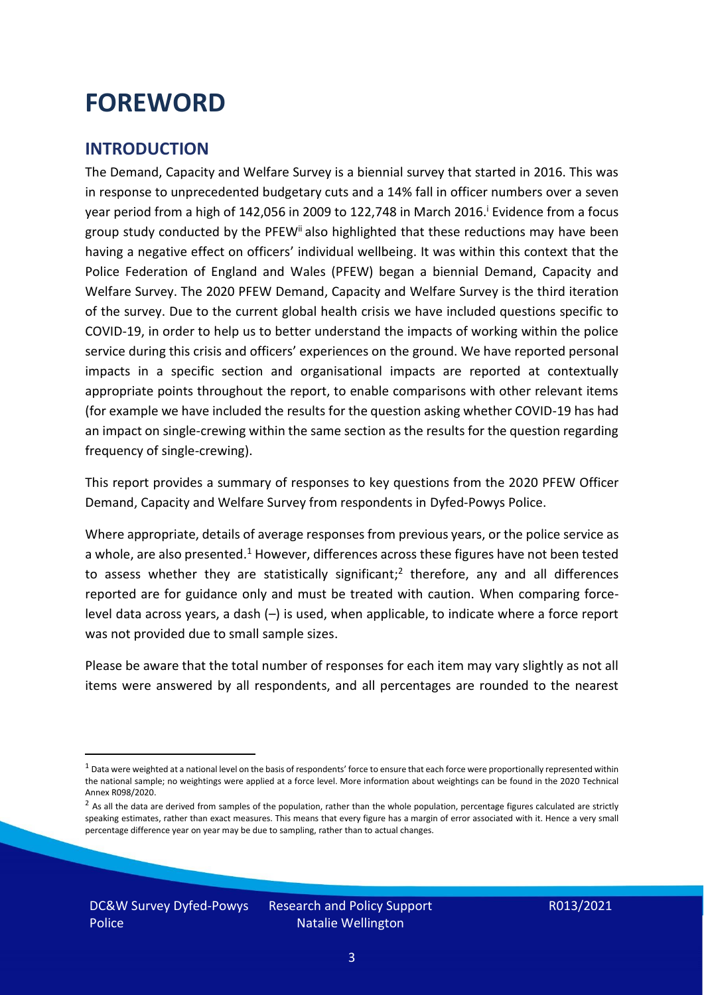### <span id="page-2-0"></span>**FOREWORD**

#### <span id="page-2-1"></span>**INTRODUCTION**

The Demand, Capacity and Welfare Survey is a biennial survey that started in 2016. This was in response to unprecedented budgetary cuts and a 14% fall in officer numbers over a seven year period from a high of 142,056 in 2009 to 122,748 in March 2016. <sup>i</sup> Evidence from a focus group study conducted by the PFEW<sup>ii</sup> also highlighted that these reductions may have been having a negative effect on officers' individual wellbeing. It was within this context that the Police Federation of England and Wales (PFEW) began a biennial Demand, Capacity and Welfare Survey. The 2020 PFEW Demand, Capacity and Welfare Survey is the third iteration of the survey. Due to the current global health crisis we have included questions specific to COVID-19, in order to help us to better understand the impacts of working within the police service during this crisis and officers' experiences on the ground. We have reported personal impacts in a specific section and organisational impacts are reported at contextually appropriate points throughout the report, to enable comparisons with other relevant items (for example we have included the results for the question asking whether COVID-19 has had an impact on single-crewing within the same section as the results for the question regarding frequency of single-crewing).

This report provides a summary of responses to key questions from the 2020 PFEW Officer Demand, Capacity and Welfare Survey from respondents in Dyfed-Powys Police.

Where appropriate, details of average responses from previous years, or the police service as a whole, are also presented.<sup>1</sup> However, differences across these figures have not been tested to assess whether they are statistically significant;<sup>2</sup> therefore, any and all differences reported are for guidance only and must be treated with caution. When comparing forcelevel data across years, a dash (–) is used, when applicable, to indicate where a force report was not provided due to small sample sizes.

Please be aware that the total number of responses for each item may vary slightly as not all items were answered by all respondents, and all percentages are rounded to the nearest

 $1$  Data were weighted at a national level on the basis of respondents' force to ensure that each force were proportionally represented within the national sample; no weightings were applied at a force level. More information about weightings can be found in the 2020 Technical Annex R098/2020.

 $2$  As all the data are derived from samples of the population, rather than the whole population, percentage figures calculated are strictly speaking estimates, rather than exact measures. This means that every figure has a margin of error associated with it. Hence a very small percentage difference year on year may be due to sampling, rather than to actual changes.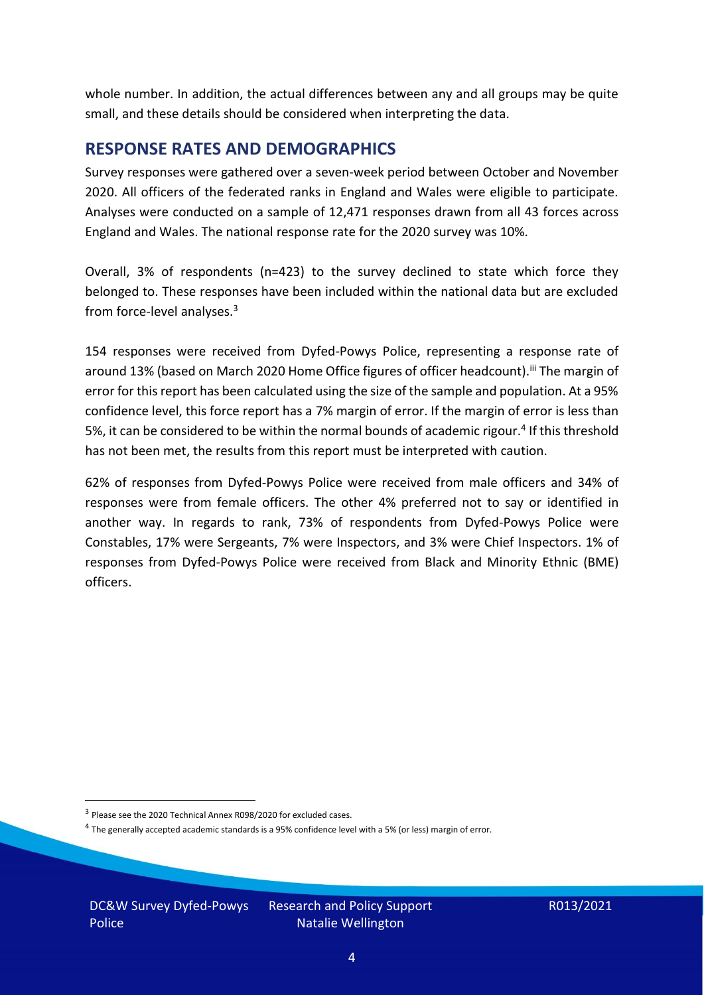whole number. In addition, the actual differences between any and all groups may be quite small, and these details should be considered when interpreting the data.

#### <span id="page-3-0"></span>**RESPONSE RATES AND DEMOGRAPHICS**

Survey responses were gathered over a seven-week period between October and November 2020. All officers of the federated ranks in England and Wales were eligible to participate. Analyses were conducted on a sample of 12,471 responses drawn from all 43 forces across England and Wales. The national response rate for the 2020 survey was 10%.

Overall, 3% of respondents (n=423) to the survey declined to state which force they belonged to. These responses have been included within the national data but are excluded from force-level analyses.<sup>3</sup>

154 responses were received from Dyfed-Powys Police, representing a response rate of around 13% (based on March 2020 Home Office figures of officer headcount).<sup>iii</sup> The margin of error for this report has been calculated using the size of the sample and population. At a 95% confidence level, this force report has a 7% margin of error. If the margin of error is less than 5%, it can be considered to be within the normal bounds of academic rigour.<sup>4</sup> If this threshold has not been met, the results from this report must be interpreted with caution.

62% of responses from Dyfed-Powys Police were received from male officers and 34% of responses were from female officers. The other 4% preferred not to say or identified in another way. In regards to rank, 73% of respondents from Dyfed-Powys Police were Constables, 17% were Sergeants, 7% were Inspectors, and 3% were Chief Inspectors. 1% of responses from Dyfed-Powys Police were received from Black and Minority Ethnic (BME) officers.

<sup>&</sup>lt;sup>3</sup> Please see the 2020 Technical Annex R098/2020 for excluded cases.

<sup>&</sup>lt;sup>4</sup> The generally accepted academic standards is a 95% confidence level with a 5% (or less) margin of error.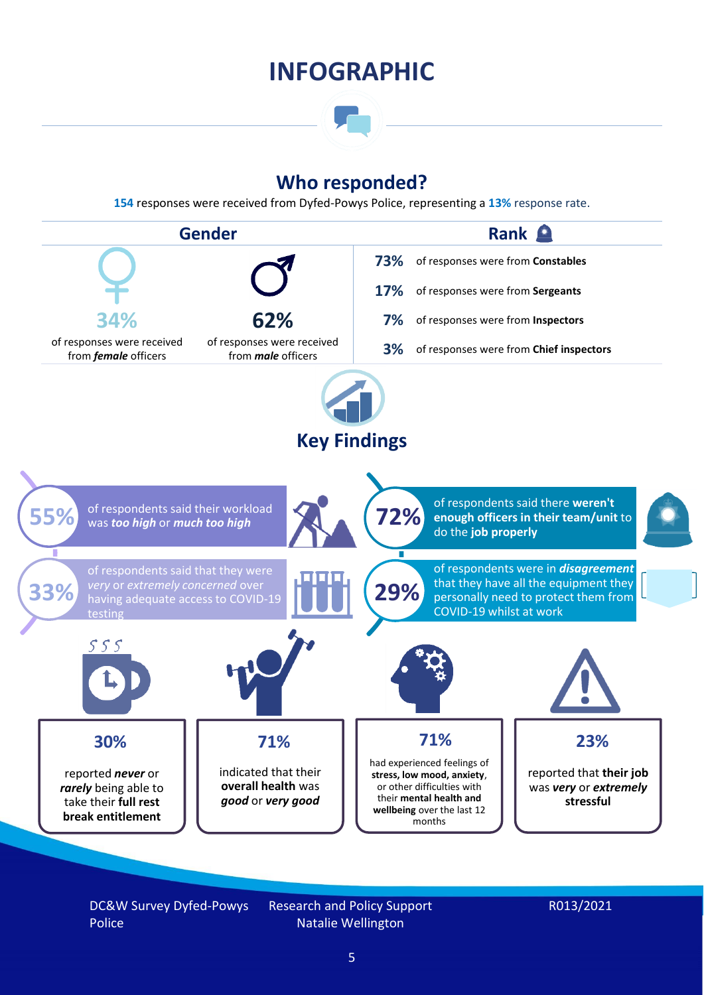### **INFOGRAPHIC**

### **Who responded?**

**154** responses were received from Dyfed-Powys Police, representing a **13%** response rate.



DC&W Survey Dyfed-Powys Police

Research and Policy Support Natalie Wellington

#### R013/2021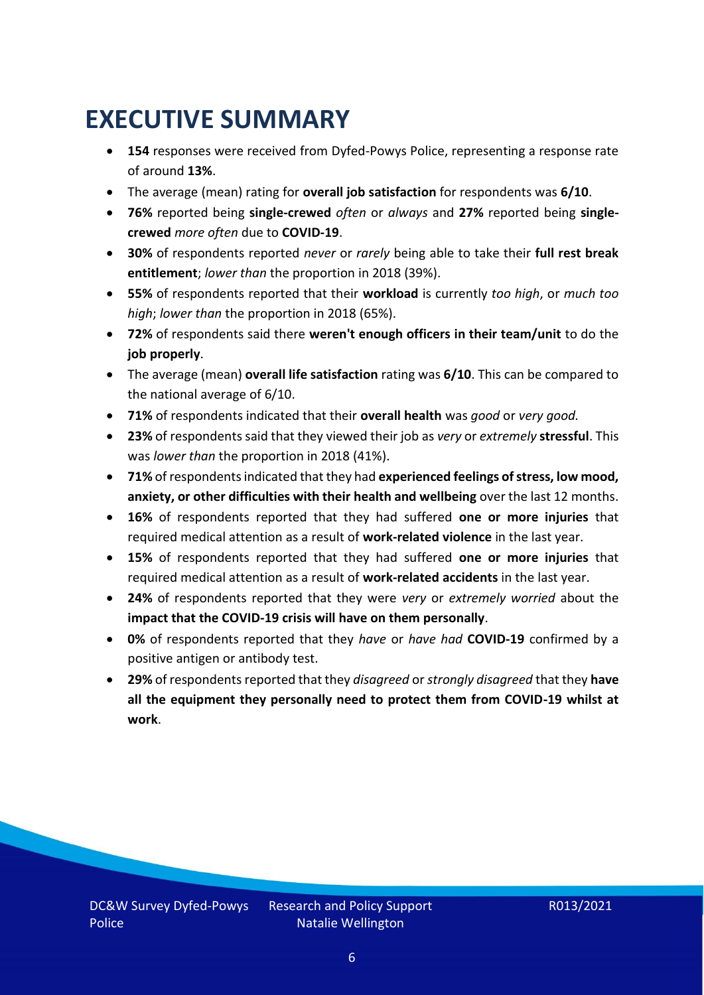### <span id="page-5-0"></span>**EXECUTIVE SUMMARY**

- **154** responses were received from Dyfed-Powys Police, representing a response rate of around **13%**.
- The average (mean) rating for **overall job satisfaction** for respondents was **6/10**.
- **76%** reported being **single-crewed** *often* or *always* and **27%** reported being **singlecrewed** *more often* due to **COVID-19**.
- **30%** of respondents reported *never* or *rarely* being able to take their **full rest break entitlement**; *lower than* the proportion in 2018 (39%).
- **55%** of respondents reported that their **workload** is currently *too high*, or *much too high*; *lower than* the proportion in 2018 (65%).
- **72%** of respondents said there **weren't enough officers in their team/unit** to do the **job properly**.
- The average (mean) **overall life satisfaction** rating was **6/10**. This can be compared to the national average of 6/10.
- **71%** of respondents indicated that their **overall health** was *good* or *very good.*
- **23%** of respondents said that they viewed their job as *very* or *extremely* **stressful**. This was *lower than* the proportion in 2018 (41%).
- **71%** of respondents indicated that they had **experienced feelings of stress, low mood, anxiety, or other difficulties with their health and wellbeing** over the last 12 months.
- **16%** of respondents reported that they had suffered **one or more injuries** that required medical attention as a result of **work-related violence** in the last year.
- **15%** of respondents reported that they had suffered **one or more injuries** that required medical attention as a result of **work-related accidents** in the last year.
- **24%** of respondents reported that they were *very* or *extremely worried* about the **impact that the COVID-19 crisis will have on them personally**.
- **0%** of respondents reported that they *have* or *have had* **COVID-19** confirmed by a positive antigen or antibody test.
- **29%** of respondents reported that they *disagreed* or *strongly disagreed* that they **have all the equipment they personally need to protect them from COVID-19 whilst at work**.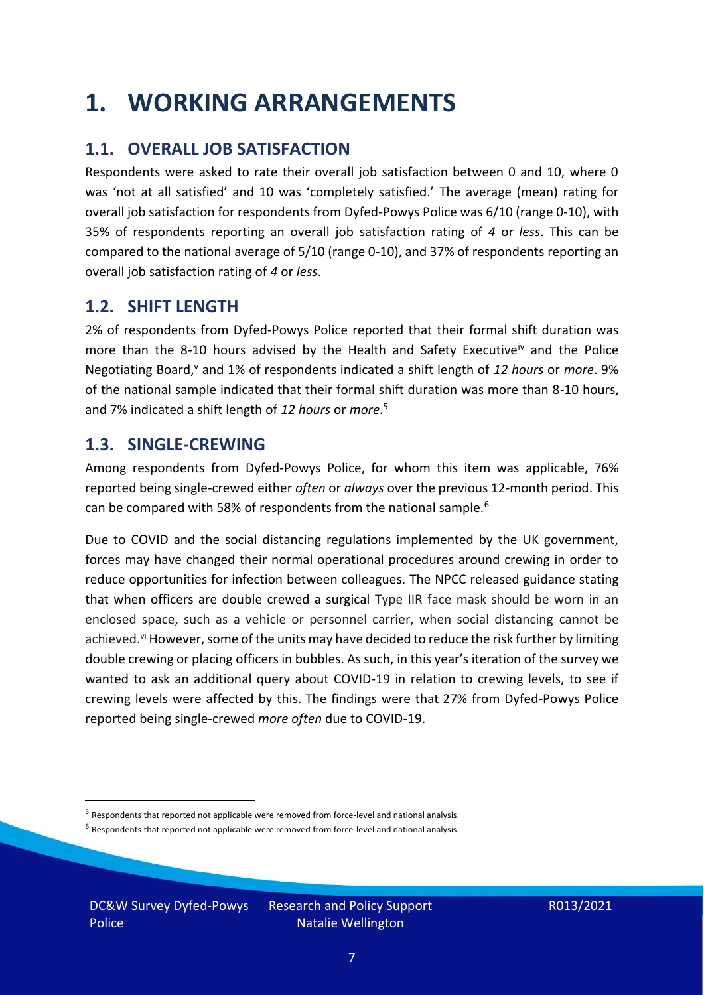### <span id="page-6-0"></span>**1. WORKING ARRANGEMENTS**

### **1.1. OVERALL JOB SATISFACTION**

Respondents were asked to rate their overall job satisfaction between 0 and 10, where 0 was 'not at all satisfied' and 10 was 'completely satisfied.' The average (mean) rating for overall job satisfaction for respondents from Dyfed-Powys Police was 6/10 (range 0-10), with 35% of respondents reporting an overall job satisfaction rating of *4* or *less*. This can be compared to the national average of 5/10 (range 0-10), and 37% of respondents reporting an overall job satisfaction rating of *4* or *less*.

### **1.2. SHIFT LENGTH**

2% of respondents from Dyfed-Powys Police reported that their formal shift duration was more than the 8-10 hours advised by the Health and Safety Executive<sup>iv</sup> and the Police Negotiating Board,<sup>v</sup> and 1% of respondents indicated a shift length of 12 hours or *more*. 9% of the national sample indicated that their formal shift duration was more than 8-10 hours, and 7% indicated a shift length of *12 hours* or *more*. 5

#### **1.3. SINGLE-CREWING**

Among respondents from Dyfed-Powys Police, for whom this item was applicable, 76% reported being single-crewed either *often* or *always* over the previous 12-month period. This can be compared with 58% of respondents from the national sample.<sup>6</sup>

Due to COVID and the social distancing regulations implemented by the UK government, forces may have changed their normal operational procedures around crewing in order to reduce opportunities for infection between colleagues. The NPCC released guidance stating that when officers are double crewed a surgical Type IIR face mask should be worn in an enclosed space, such as a vehicle or personnel carrier, when social distancing cannot be achieved.<sup>vi</sup> However, some of the units may have decided to reduce the risk further by limiting double crewing or placing officers in bubbles. As such, in this year's iteration of the survey we wanted to ask an additional query about COVID-19 in relation to crewing levels, to see if crewing levels were affected by this. The findings were that 27% from Dyfed-Powys Police reported being single-crewed *more often* due to COVID-19.

DC&W Survey Dyfed-Powys Police

<sup>&</sup>lt;sup>5</sup> Respondents that reported not applicable were removed from force-level and national analysis.

 $<sup>6</sup>$  Respondents that reported not applicable were removed from force-level and national analysis.</sup>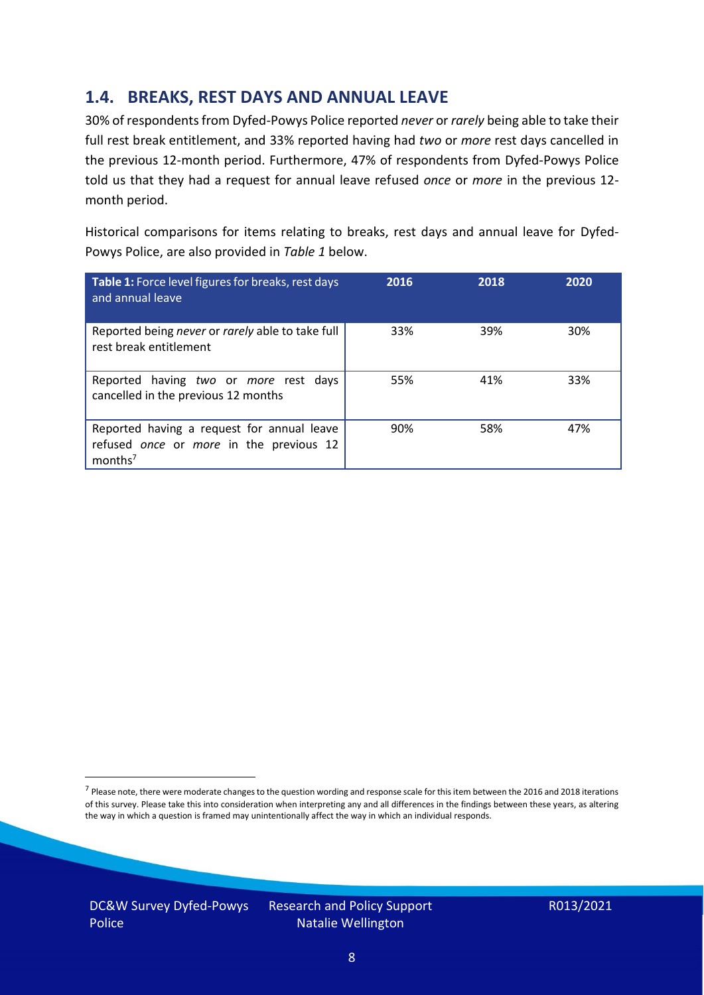### **1.4. BREAKS, REST DAYS AND ANNUAL LEAVE**

30% of respondents from Dyfed-Powys Police reported *never* or *rarely* being able to take their full rest break entitlement, and 33% reported having had *two* or *more* rest days cancelled in the previous 12-month period. Furthermore, 47% of respondents from Dyfed-Powys Police told us that they had a request for annual leave refused *once* or *more* in the previous 12 month period.

Historical comparisons for items relating to breaks, rest days and annual leave for Dyfed-Powys Police, are also provided in *Table 1* below.

| Table 1: Force level figures for breaks, rest days<br>and annual leave                                       | 2016 | 2018 | 2020 |
|--------------------------------------------------------------------------------------------------------------|------|------|------|
| Reported being never or rarely able to take full<br>rest break entitlement                                   | 33%  | 39%  | 30%  |
| Reported having two or more rest days<br>cancelled in the previous 12 months                                 | 55%  | 41%  | 33%  |
| Reported having a request for annual leave<br>refused once or more in the previous 12<br>months <sup>7</sup> | 90%  | 58%  | 47%  |

DC&W Survey Dyfed-Powys Police

<sup>&</sup>lt;sup>7</sup> Please note, there were moderate changes to the question wording and response scale for this item between the 2016 and 2018 iterations of this survey. Please take this into consideration when interpreting any and all differences in the findings between these years, as altering the way in which a question is framed may unintentionally affect the way in which an individual responds.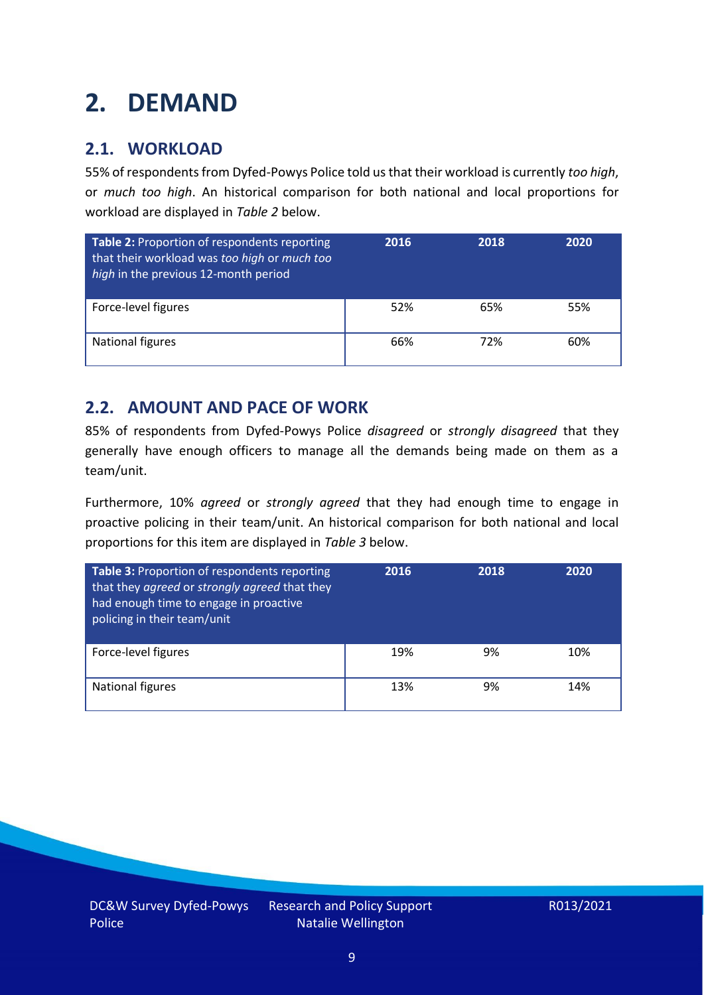### <span id="page-8-0"></span>**2. DEMAND**

### **2.1. WORKLOAD**

55% of respondents from Dyfed-Powys Police told us that their workload is currently *too high*, or *much too high*. An historical comparison for both national and local proportions for workload are displayed in *Table 2* below.

| Table 2: Proportion of respondents reporting<br>that their workload was too high or much too<br>high in the previous 12-month period | 2016 | 2018 | 2020 |
|--------------------------------------------------------------------------------------------------------------------------------------|------|------|------|
| Force-level figures                                                                                                                  | 52%  | 65%  | 55%  |
| National figures                                                                                                                     | 66%  | 72%  | 60%  |

### **2.2. AMOUNT AND PACE OF WORK**

85% of respondents from Dyfed-Powys Police *disagreed* or *strongly disagreed* that they generally have enough officers to manage all the demands being made on them as a team/unit.

Furthermore, 10% *agreed* or *strongly agreed* that they had enough time to engage in proactive policing in their team/unit. An historical comparison for both national and local proportions for this item are displayed in *Table 3* below.

| Table 3: Proportion of respondents reporting<br>that they agreed or strongly agreed that they<br>had enough time to engage in proactive<br>policing in their team/unit | 2016 | 2018 | 2020 |
|------------------------------------------------------------------------------------------------------------------------------------------------------------------------|------|------|------|
| Force-level figures                                                                                                                                                    | 19%  | 9%   | 10%  |
| National figures                                                                                                                                                       | 13%  | 9%   | 14%  |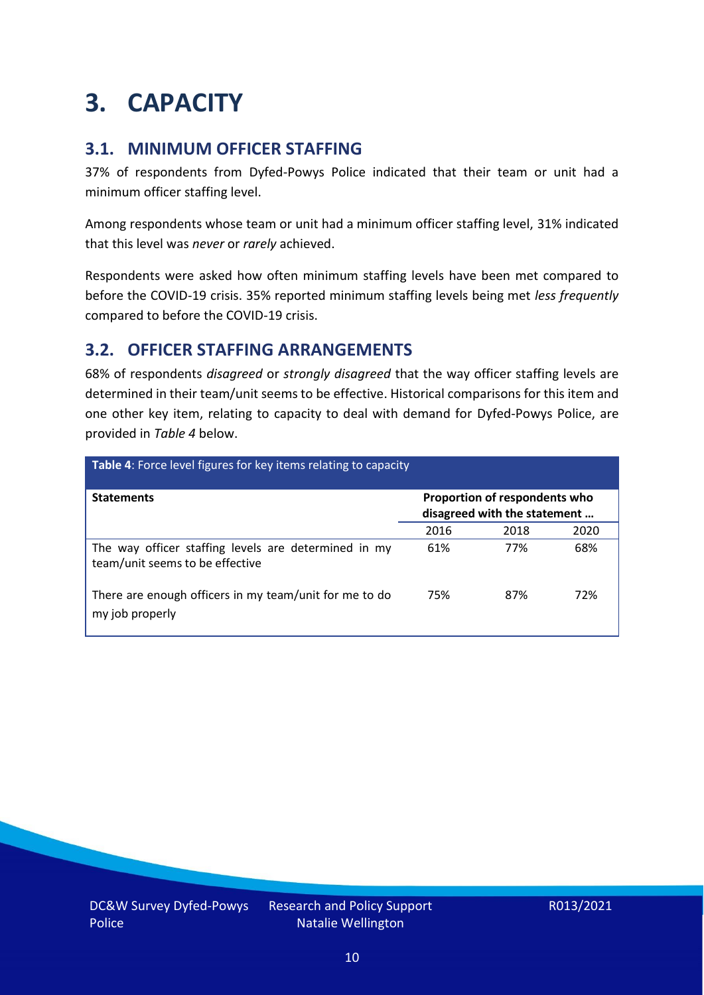### <span id="page-9-0"></span>**3. CAPACITY**

### **3.1. MINIMUM OFFICER STAFFING**

37% of respondents from Dyfed-Powys Police indicated that their team or unit had a minimum officer staffing level.

Among respondents whose team or unit had a minimum officer staffing level, 31% indicated that this level was *never* or *rarely* achieved.

Respondents were asked how often minimum staffing levels have been met compared to before the COVID-19 crisis. 35% reported minimum staffing levels being met *less frequently* compared to before the COVID-19 crisis.

### **3.2. OFFICER STAFFING ARRANGEMENTS**

68% of respondents *disagreed* or *strongly disagreed* that the way officer staffing levels are determined in their team/unit seems to be effective. Historical comparisons for this item and one other key item, relating to capacity to deal with demand for Dyfed-Powys Police, are provided in *Table 4* below.

| Table 4: Force level figures for key items relating to capacity                         |                                                               |      |      |
|-----------------------------------------------------------------------------------------|---------------------------------------------------------------|------|------|
| <b>Statements</b>                                                                       | Proportion of respondents who<br>disagreed with the statement |      |      |
|                                                                                         | 2016                                                          | 2018 | 2020 |
| The way officer staffing levels are determined in my<br>team/unit seems to be effective | 61%                                                           | 77%  | 68%  |
| There are enough officers in my team/unit for me to do<br>my job properly               | 75%                                                           | 87%  | 72%  |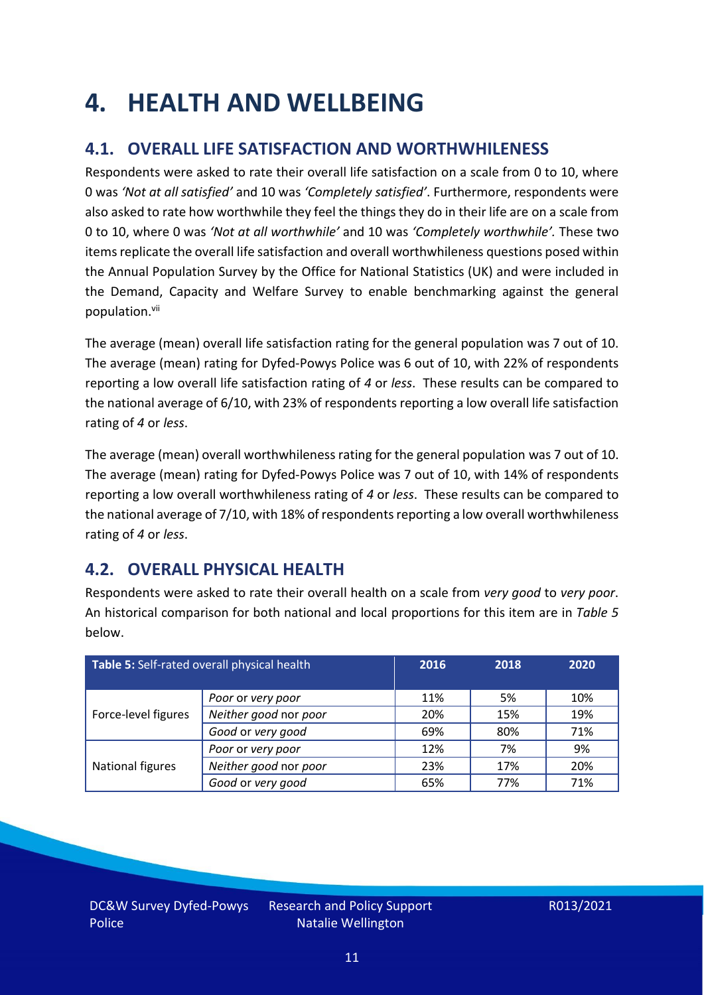### <span id="page-10-0"></span>**4. HEALTH AND WELLBEING**

### **4.1. OVERALL LIFE SATISFACTION AND WORTHWHILENESS**

Respondents were asked to rate their overall life satisfaction on a scale from 0 to 10, where 0 was *'Not at all satisfied'* and 10 was *'Completely satisfied'*. Furthermore, respondents were also asked to rate how worthwhile they feel the things they do in their life are on a scale from 0 to 10, where 0 was *'Not at all worthwhile'* and 10 was *'Completely worthwhile'.* These two items replicate the overall life satisfaction and overall worthwhileness questions posed within the Annual Population Survey by the Office for National Statistics (UK) and were included in the Demand, Capacity and Welfare Survey to enable benchmarking against the general population. vii

The average (mean) overall life satisfaction rating for the general population was 7 out of 10. The average (mean) rating for Dyfed-Powys Police was 6 out of 10, with 22% of respondents reporting a low overall life satisfaction rating of *4* or *less*. These results can be compared to the national average of 6/10, with 23% of respondents reporting a low overall life satisfaction rating of *4* or *less*.

The average (mean) overall worthwhileness rating for the general population was 7 out of 10. The average (mean) rating for Dyfed-Powys Police was 7 out of 10, with 14% of respondents reporting a low overall worthwhileness rating of *4* or *less*. These results can be compared to the national average of 7/10, with 18% of respondents reporting a low overall worthwhileness rating of *4* or *less*.

### **4.2. OVERALL PHYSICAL HEALTH**

Respondents were asked to rate their overall health on a scale from *very good* to *very poor*. An historical comparison for both national and local proportions for this item are in *Table 5* below.

| Table 5: Self-rated overall physical health |                       | 2016 | 2018 | 2020 |
|---------------------------------------------|-----------------------|------|------|------|
|                                             | Poor or very poor     | 11%  | 5%   | 10%  |
| Force-level figures                         | Neither good nor poor | 20%  | 15%  | 19%  |
|                                             | Good or very good     | 69%  | 80%  | 71%  |
|                                             | Poor or very poor     | 12%  | 7%   | 9%   |
| National figures                            | Neither good nor poor | 23%  | 17%  | 20%  |
|                                             | Good or very good     | 65%  | 77%  | 71%  |

DC&W Survey Dyfed-Powys Police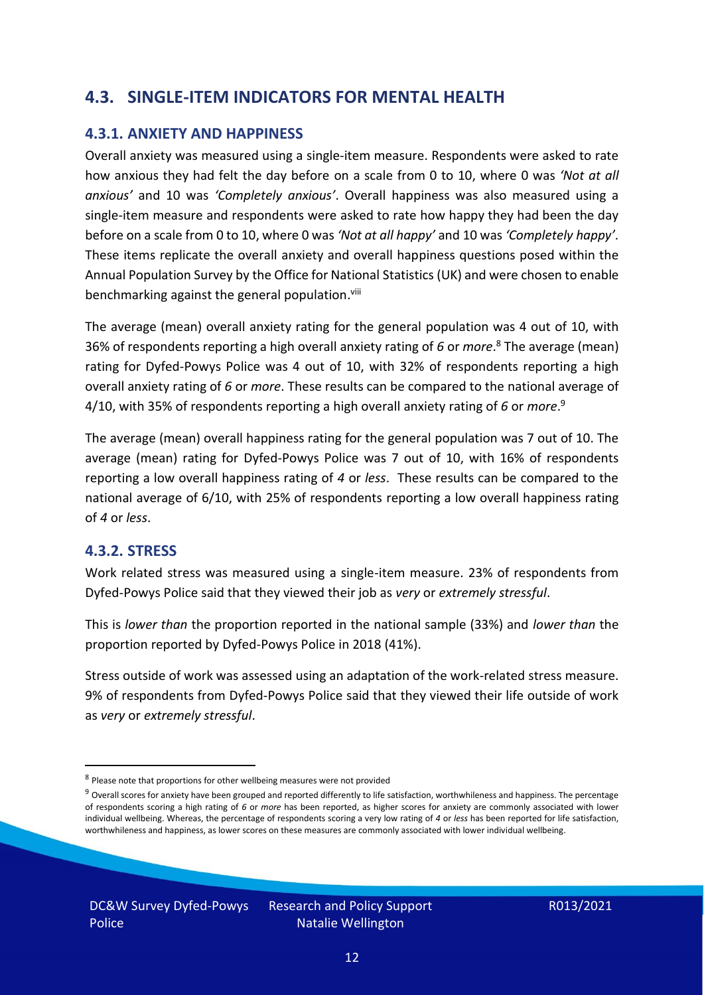### **4.3. SINGLE-ITEM INDICATORS FOR MENTAL HEALTH**

#### **4.3.1. ANXIETY AND HAPPINESS**

Overall anxiety was measured using a single-item measure. Respondents were asked to rate how anxious they had felt the day before on a scale from 0 to 10, where 0 was *'Not at all anxious'* and 10 was *'Completely anxious'*. Overall happiness was also measured using a single-item measure and respondents were asked to rate how happy they had been the day before on a scale from 0 to 10, where 0 was *'Not at all happy'* and 10 was *'Completely happy'*. These items replicate the overall anxiety and overall happiness questions posed within the Annual Population Survey by the Office for National Statistics (UK) and were chosen to enable benchmarking against the general population.<sup>viii</sup>

The average (mean) overall anxiety rating for the general population was 4 out of 10, with 36% of respondents reporting a high overall anxiety rating of *6* or *more*. <sup>8</sup> The average (mean) rating for Dyfed-Powys Police was 4 out of 10, with 32% of respondents reporting a high overall anxiety rating of *6* or *more*. These results can be compared to the national average of 4/10, with 35% of respondents reporting a high overall anxiety rating of *6* or *more*. 9

The average (mean) overall happiness rating for the general population was 7 out of 10. The average (mean) rating for Dyfed-Powys Police was 7 out of 10, with 16% of respondents reporting a low overall happiness rating of *4* or *less*. These results can be compared to the national average of 6/10, with 25% of respondents reporting a low overall happiness rating of *4* or *less*.

#### **4.3.2. STRESS**

Work related stress was measured using a single-item measure. 23% of respondents from Dyfed-Powys Police said that they viewed their job as *very* or *extremely stressful*.

This is *lower than* the proportion reported in the national sample (33%) and *lower than* the proportion reported by Dyfed-Powys Police in 2018 (41%).

Stress outside of work was assessed using an adaptation of the work-related stress measure. 9% of respondents from Dyfed-Powys Police said that they viewed their life outside of work as *very* or *extremely stressful*.

<sup>&</sup>lt;sup>8</sup> Please note that proportions for other wellbeing measures were not provided

 $9$  Overall scores for anxiety have been grouped and reported differently to life satisfaction, worthwhileness and happiness. The percentage of respondents scoring a high rating of *6* or *more* has been reported, as higher scores for anxiety are commonly associated with lower individual wellbeing. Whereas, the percentage of respondents scoring a very low rating of *4* or *less* has been reported for life satisfaction, worthwhileness and happiness, as lower scores on these measures are commonly associated with lower individual wellbeing.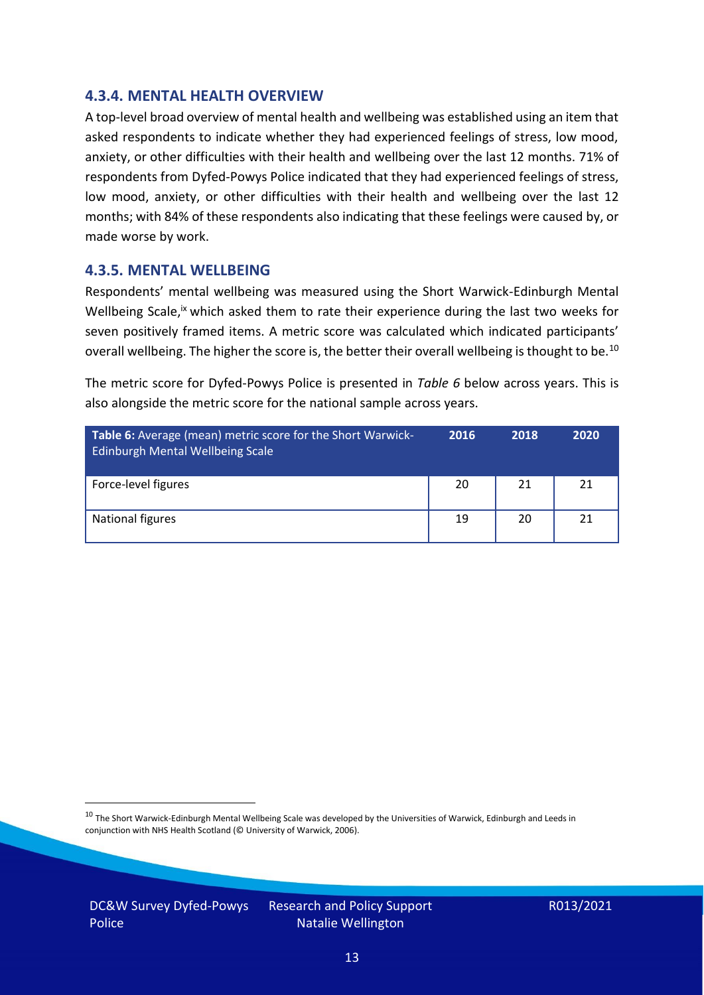#### **4.3.4. MENTAL HEALTH OVERVIEW**

A top-level broad overview of mental health and wellbeing was established using an item that asked respondents to indicate whether they had experienced feelings of stress, low mood, anxiety, or other difficulties with their health and wellbeing over the last 12 months. 71% of respondents from Dyfed-Powys Police indicated that they had experienced feelings of stress, low mood, anxiety, or other difficulties with their health and wellbeing over the last 12 months; with 84% of these respondents also indicating that these feelings were caused by, or made worse by work.

#### **4.3.5. MENTAL WELLBEING**

Respondents' mental wellbeing was measured using the Short Warwick-Edinburgh Mental Wellbeing Scale,<sup>ix</sup> which asked them to rate their experience during the last two weeks for seven positively framed items. A metric score was calculated which indicated participants' overall wellbeing. The higher the score is, the better their overall wellbeing is thought to be.<sup>10</sup>

The metric score for Dyfed-Powys Police is presented in *Table 6* below across years. This is also alongside the metric score for the national sample across years.

| <b>Table 6:</b> Average (mean) metric score for the Short Warwick-<br>Edinburgh Mental Wellbeing Scale | 2016 | 2018 | 2020 |
|--------------------------------------------------------------------------------------------------------|------|------|------|
| Force-level figures                                                                                    | 20   | 21   | 21   |
| National figures                                                                                       | 19   | 20   | 21   |

 $10$  The Short Warwick-Edinburgh Mental Wellbeing Scale was developed by the Universities of Warwick, Edinburgh and Leeds in conjunction with NHS Health Scotland (© University of Warwick, 2006).

DC&W Survey Dyfed-Powys Police

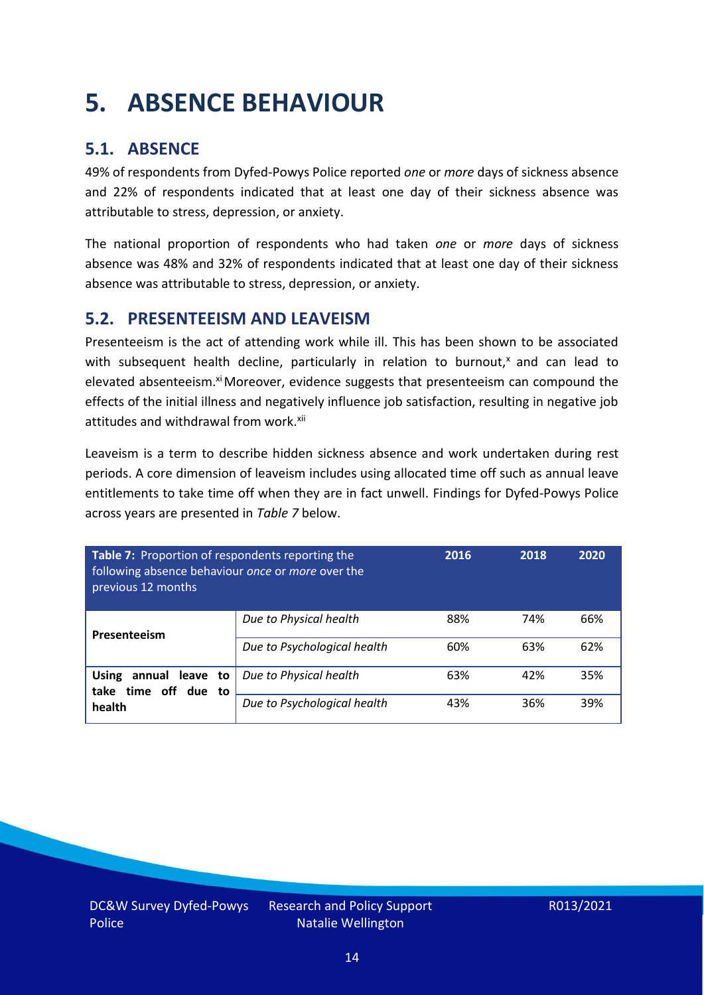### <span id="page-13-0"></span>**5. ABSENCE BEHAVIOUR**

### **5.1. ABSENCE**

49% of respondents from Dyfed-Powys Police reported *one* or *more* days of sickness absence and 22% of respondents indicated that at least one day of their sickness absence was attributable to stress, depression, or anxiety.

The national proportion of respondents who had taken *one* or *more* days of sickness absence was 48% and 32% of respondents indicated that at least one day of their sickness absence was attributable to stress, depression, or anxiety.

#### **5.2. PRESENTEEISM AND LEAVEISM**

Presenteeism is the act of attending work while ill. This has been shown to be associated with subsequent health decline, particularly in relation to burnout, $x$  and can lead to elevated absenteeism.<sup>xi</sup> Moreover, evidence suggests that presenteeism can compound the effects of the initial illness and negatively influence job satisfaction, resulting in negative job attitudes and withdrawal from work.<sup>xii</sup>

Leaveism is a term to describe hidden sickness absence and work undertaken during rest periods. A core dimension of leaveism includes using allocated time off such as annual leave entitlements to take time off when they are in fact unwell. Findings for Dyfed-Powys Police across years are presented in *Table 7* below.

| Table 7: Proportion of respondents reporting the<br>following absence behaviour once or more over the<br>previous 12 months |                             | 2016 | 2018 | 2020 |
|-----------------------------------------------------------------------------------------------------------------------------|-----------------------------|------|------|------|
| Presenteeism                                                                                                                | Due to Physical health      | 88%  | 74%  | 66%  |
|                                                                                                                             | Due to Psychological health | 60%  | 63%  | 62%  |
| <b>Using</b><br>annual leave to<br>time off due to<br>take                                                                  | Due to Physical health      | 63%  | 42%  | 35%  |
| health                                                                                                                      | Due to Psychological health | 43%  | 36%  | 39%  |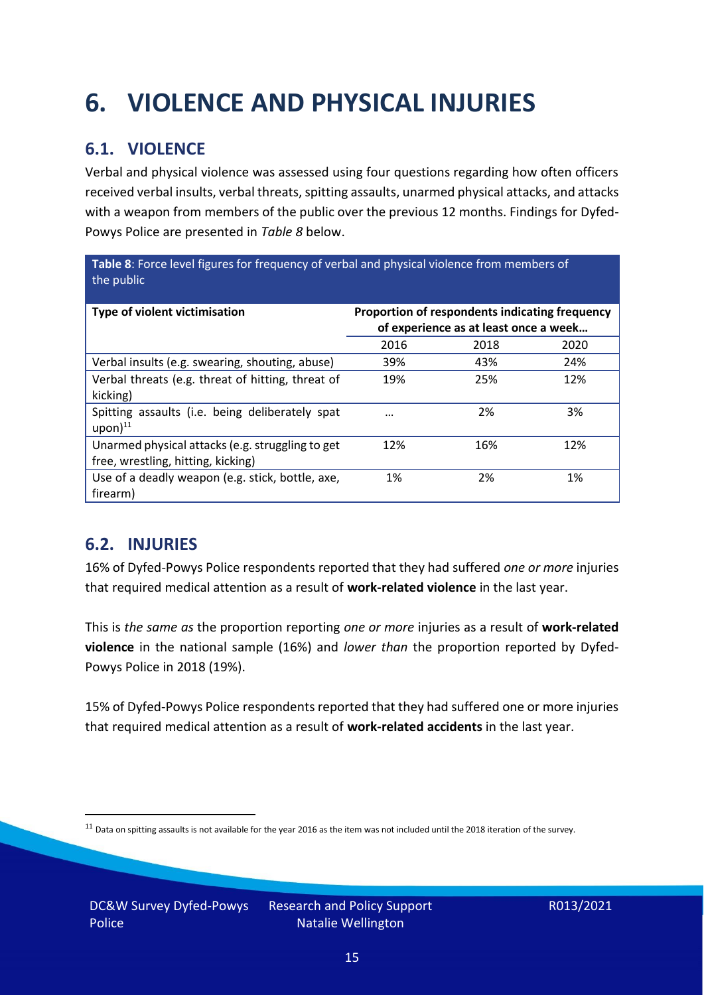## <span id="page-14-0"></span>**6. VIOLENCE AND PHYSICAL INJURIES**

### **6.1. VIOLENCE**

Verbal and physical violence was assessed using four questions regarding how often officers received verbal insults, verbal threats, spitting assaults, unarmed physical attacks, and attacks with a weapon from members of the public over the previous 12 months. Findings for Dyfed-Powys Police are presented in *Table 8* below.

**Table 8**: Force level figures for frequency of verbal and physical violence from members of the public

| Type of violent victimisation                                                          | Proportion of respondents indicating frequency<br>of experience as at least once a week |      |      |
|----------------------------------------------------------------------------------------|-----------------------------------------------------------------------------------------|------|------|
|                                                                                        | 2016                                                                                    | 2018 | 2020 |
| Verbal insults (e.g. swearing, shouting, abuse)                                        | 39%                                                                                     | 43%  | 24%  |
| Verbal threats (e.g. threat of hitting, threat of<br>kicking)                          | 19%                                                                                     | 25%  | 12%  |
| Spitting assaults (i.e. being deliberately spat<br>$upon)$ <sup>11</sup>               | $\cdots$                                                                                | 2%   | 3%   |
| Unarmed physical attacks (e.g. struggling to get<br>free, wrestling, hitting, kicking) | 12%                                                                                     | 16%  | 12%  |
| Use of a deadly weapon (e.g. stick, bottle, axe,<br>firearm)                           | 1%                                                                                      | 2%   | 1%   |

### **6.2. INJURIES**

16% of Dyfed-Powys Police respondents reported that they had suffered *one or more* injuries that required medical attention as a result of **work-related violence** in the last year.

This is *the same as* the proportion reporting *one or more* injuries as a result of **work-related violence** in the national sample (16%) and *lower than* the proportion reported by Dyfed-Powys Police in 2018 (19%).

15% of Dyfed-Powys Police respondents reported that they had suffered one or more injuries that required medical attention as a result of **work-related accidents** in the last year.

 $11$  Data on spitting assaults is not available for the year 2016 as the item was not included until the 2018 iteration of the survey.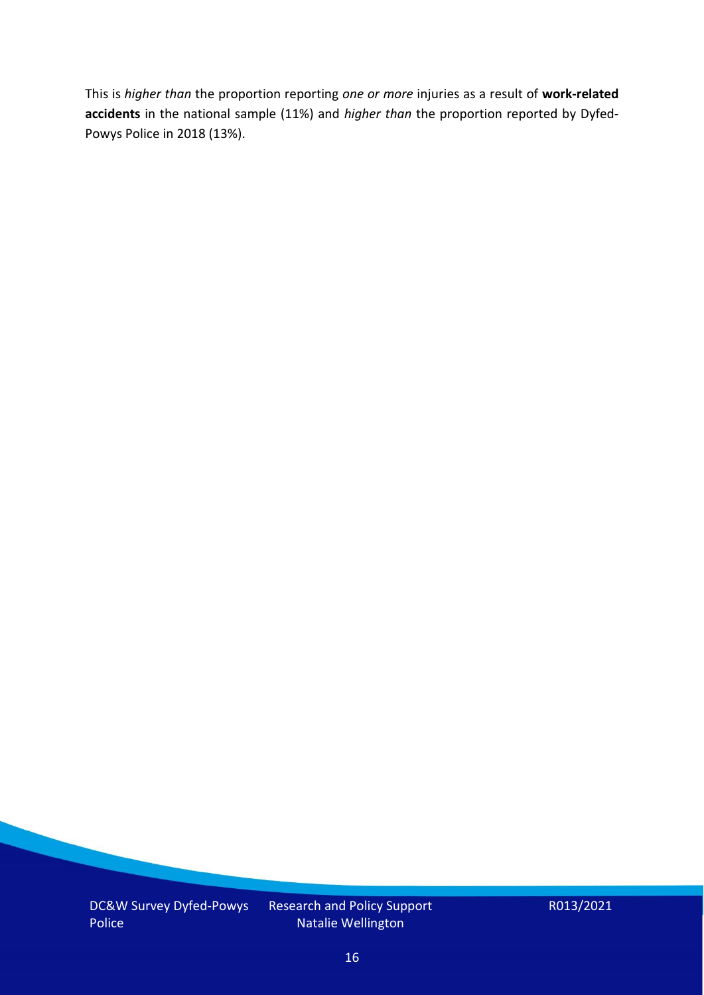This is *higher than* the proportion reporting *one or more* injuries as a result of **work-related accidents** in the national sample (11%) and *higher than* the proportion reported by Dyfed-Powys Police in 2018 (13%).

DC&W Survey Dyfed-Powys Police

Research and Policy Support Natalie Wellington

R013/2021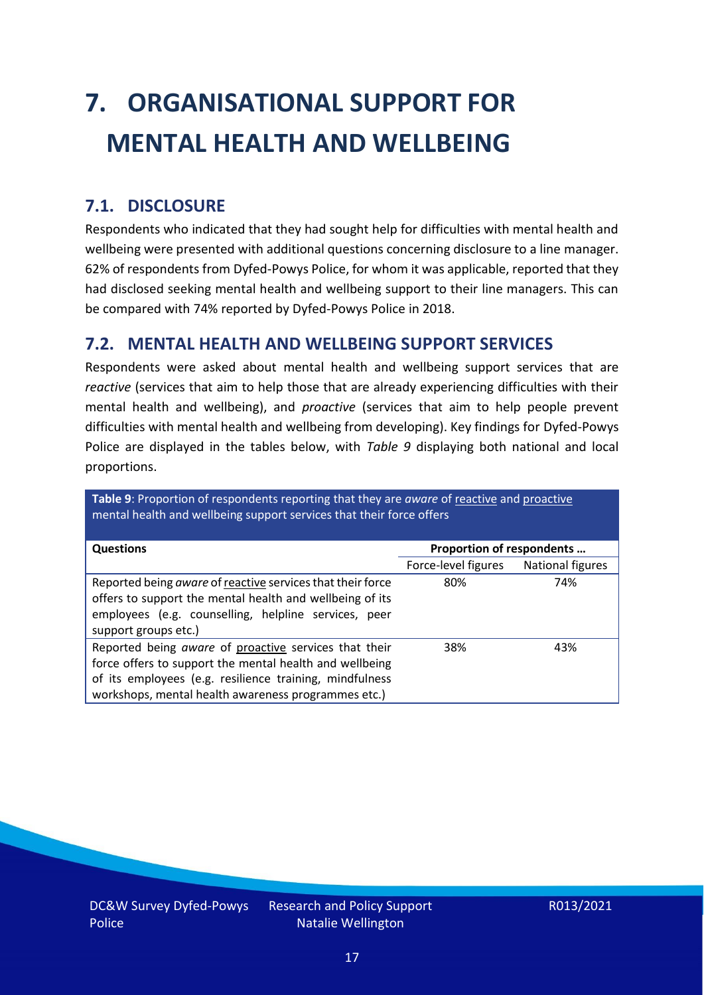# <span id="page-16-0"></span>**7. ORGANISATIONAL SUPPORT FOR MENTAL HEALTH AND WELLBEING**

### **7.1. DISCLOSURE**

Respondents who indicated that they had sought help for difficulties with mental health and wellbeing were presented with additional questions concerning disclosure to a line manager. 62% of respondents from Dyfed-Powys Police, for whom it was applicable, reported that they had disclosed seeking mental health and wellbeing support to their line managers. This can be compared with 74% reported by Dyfed-Powys Police in 2018.

### **7.2. MENTAL HEALTH AND WELLBEING SUPPORT SERVICES**

Respondents were asked about mental health and wellbeing support services that are *reactive* (services that aim to help those that are already experiencing difficulties with their mental health and wellbeing), and *proactive* (services that aim to help people prevent difficulties with mental health and wellbeing from developing). Key findings for Dyfed-Powys Police are displayed in the tables below, with *Table 9* displaying both national and local proportions.

**Table 9**: Proportion of respondents reporting that they are *aware* of reactive and proactive mental health and wellbeing support services that their force offers

| <b>Questions</b>                                           | Proportion of respondents |                  |  |
|------------------------------------------------------------|---------------------------|------------------|--|
|                                                            |                           |                  |  |
|                                                            | Force-level figures       | National figures |  |
| Reported being aware of reactive services that their force | 80%                       | 74%              |  |
| offers to support the mental health and wellbeing of its   |                           |                  |  |
| employees (e.g. counselling, helpline services, peer       |                           |                  |  |
|                                                            |                           |                  |  |
| support groups etc.)                                       |                           |                  |  |
| Reported being aware of proactive services that their      | 38%                       | 43%              |  |
| force offers to support the mental health and wellbeing    |                           |                  |  |
| of its employees (e.g. resilience training, mindfulness    |                           |                  |  |
| workshops, mental health awareness programmes etc.)        |                           |                  |  |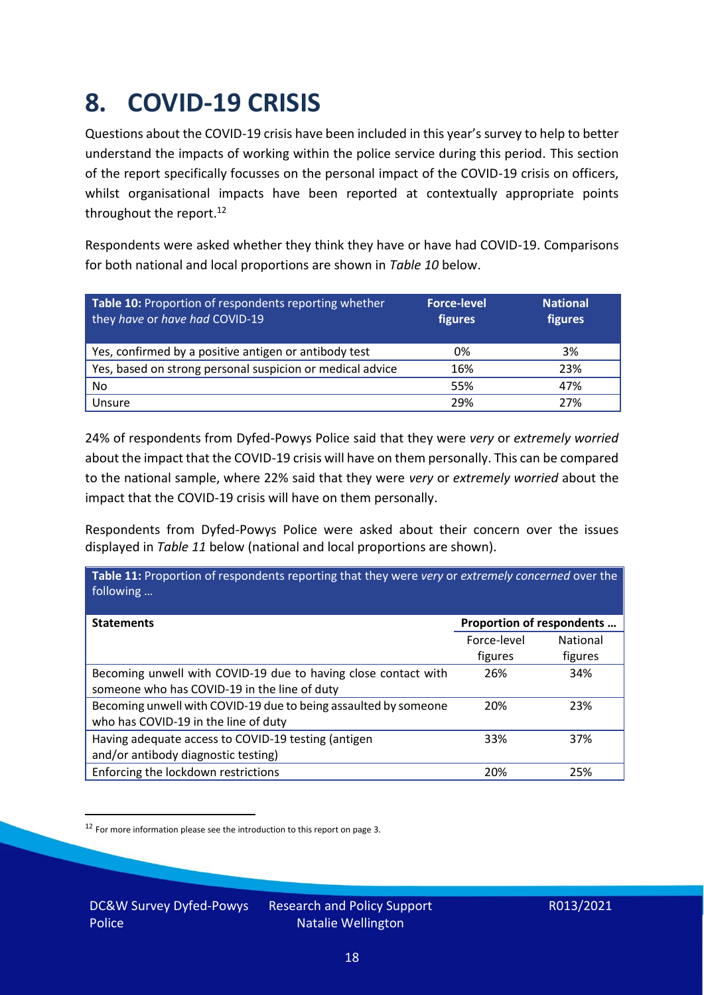### <span id="page-17-0"></span>**8. COVID-19 CRISIS**

Questions about the COVID-19 crisis have been included in this year's survey to help to better understand the impacts of working within the police service during this period. This section of the report specifically focusses on the personal impact of the COVID-19 crisis on officers, whilst organisational impacts have been reported at contextually appropriate points throughout the report.<sup>12</sup>

Respondents were asked whether they think they have or have had COVID-19. Comparisons for both national and local proportions are shown in *Table 10* below.

| Table 10: Proportion of respondents reporting whether<br>they have or have had COVID-19 | <b>Force-level</b><br>figures | <b>National</b><br>figures |
|-----------------------------------------------------------------------------------------|-------------------------------|----------------------------|
| Yes, confirmed by a positive antigen or antibody test                                   | 0%                            | 3%                         |
| Yes, based on strong personal suspicion or medical advice                               | 16%                           | 23%                        |
| No                                                                                      | 55%                           | 47%                        |
| Unsure                                                                                  | 29%                           | 27%                        |

24% of respondents from Dyfed-Powys Police said that they were *very* or *extremely worried* about the impact that the COVID-19 crisis will have on them personally. This can be compared to the national sample, where 22% said that they were *very* or *extremely worried* about the impact that the COVID-19 crisis will have on them personally.

Respondents from Dyfed-Powys Police were asked about their concern over the issues displayed in *Table 11* below (national and local proportions are shown).

| Table 11: Proportion of respondents reporting that they were very or extremely concerned over the<br>following |                           |                 |
|----------------------------------------------------------------------------------------------------------------|---------------------------|-----------------|
| <b>Statements</b>                                                                                              | Proportion of respondents |                 |
|                                                                                                                | Force-level               | <b>National</b> |
|                                                                                                                | figures                   | figures         |
| Becoming unwell with COVID-19 due to having close contact with                                                 | 26%                       | 34%             |
| someone who has COVID-19 in the line of duty                                                                   |                           |                 |
| Becoming unwell with COVID-19 due to being assaulted by someone                                                | 20%                       | 23%             |
| who has COVID-19 in the line of duty                                                                           |                           |                 |
| Having adequate access to COVID-19 testing (antigen                                                            | 33%                       | 37%             |
| and/or antibody diagnostic testing)                                                                            |                           |                 |
| Enforcing the lockdown restrictions                                                                            | 20%                       | 25%             |

<sup>12</sup> For more information please see the introduction to this report on page 3.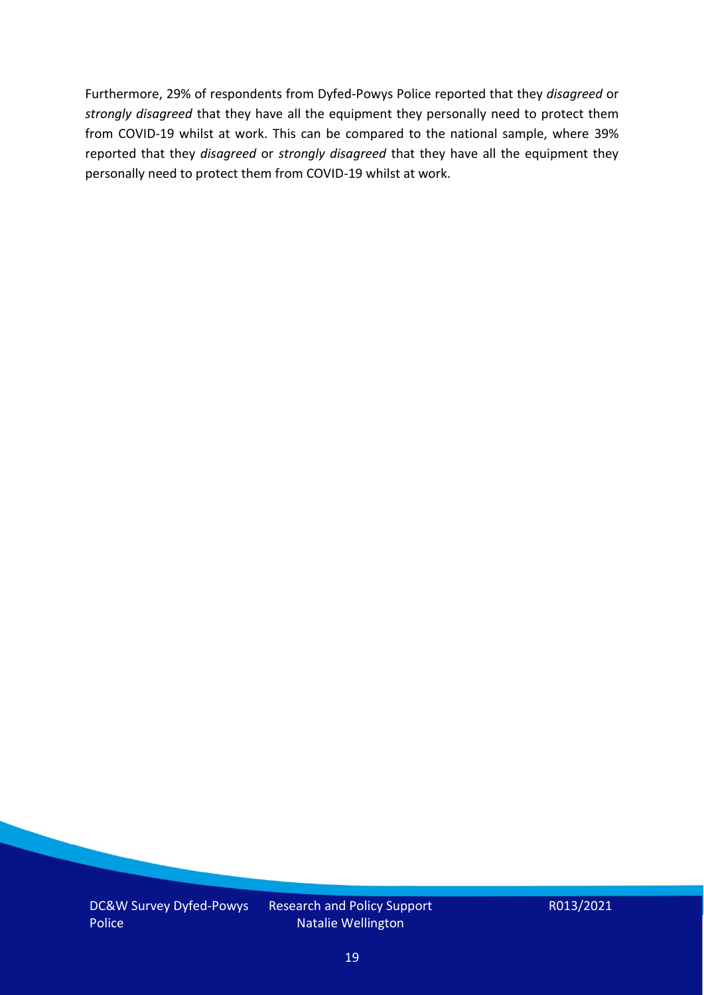Furthermore, 29% of respondents from Dyfed-Powys Police reported that they *disagreed* or *strongly disagreed* that they have all the equipment they personally need to protect them from COVID-19 whilst at work. This can be compared to the national sample, where 39% reported that they *disagreed* or *strongly disagreed* that they have all the equipment they personally need to protect them from COVID-19 whilst at work.

DC&W Survey Dyfed-Powys Police

Research and Policy Support Natalie Wellington

R013/2021